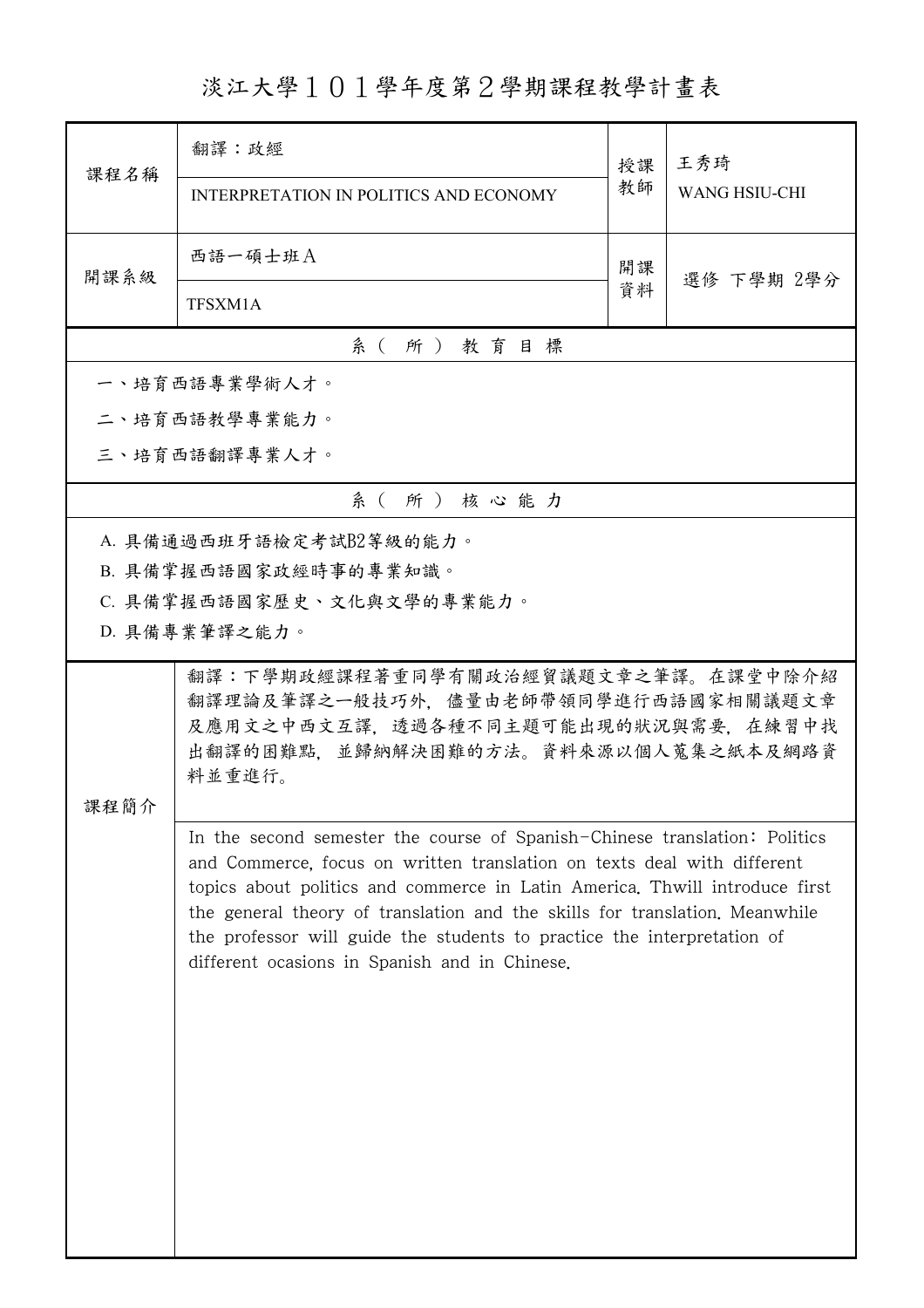## 淡江大學101學年度第2學期課程教學計畫表

| 課程名稱     | 翻譯:政經                                                                                                                                                 | 授課 | 王秀琦<br><b>WANG HSIU-CHI</b> |  |
|----------|-------------------------------------------------------------------------------------------------------------------------------------------------------|----|-----------------------------|--|
|          | INTERPRETATION IN POLITICS AND ECONOMY                                                                                                                | 教師 |                             |  |
| 開課系級     | 西語一碩士班A                                                                                                                                               | 開課 | 選修 下學期 2學分                  |  |
|          | TFSXM1A                                                                                                                                               | 資料 |                             |  |
| 系(所)教育目標 |                                                                                                                                                       |    |                             |  |
|          | 一、培育西語專業學術人才。                                                                                                                                         |    |                             |  |
|          | 二、培育西語教學專業能力。                                                                                                                                         |    |                             |  |
|          | 三、培育西語翻譯專業人才。                                                                                                                                         |    |                             |  |
|          | 系(所)核心能力                                                                                                                                              |    |                             |  |
|          | A. 具備通過西班牙語檢定考試B2等級的能力。                                                                                                                               |    |                             |  |
|          | B. 具備掌握西語國家政經時事的專業知識。                                                                                                                                 |    |                             |  |
|          | C. 具備掌握西語國家歷史、文化與文學的專業能力。<br>D. 具備專業筆譯之能力。                                                                                                            |    |                             |  |
|          |                                                                                                                                                       |    |                             |  |
|          | 翻譯:下學期政經課程著重同學有關政治經貿議題文章之筆譯。在課堂中除介紹<br>翻譯理論及筆譯之一般技巧外,儘量由老師帶領同學進行西語國家相關議題文章                                                                            |    |                             |  |
|          | 及應用文之中西文互譯,透過各種不同主題可能出現的狀況與需要,在練習中找                                                                                                                   |    |                             |  |
|          | 出翻譯的困難點,並歸納解決困難的方法。資料來源以個人蒐集之紙本及網路資<br>料並重進行。                                                                                                         |    |                             |  |
| 课程简介     |                                                                                                                                                       |    |                             |  |
|          | In the second semester the course of Spanish-Chinese translation: Politics<br>and Commerce, focus on written translation on texts deal with different |    |                             |  |
|          | topics about politics and commerce in Latin America. Thwill introduce first                                                                           |    |                             |  |
|          | the general theory of translation and the skills for translation. Meanwhile                                                                           |    |                             |  |
|          | the professor will guide the students to practice the interpretation of<br>different ocasions in Spanish and in Chinese.                              |    |                             |  |
|          |                                                                                                                                                       |    |                             |  |
|          |                                                                                                                                                       |    |                             |  |
|          |                                                                                                                                                       |    |                             |  |
|          |                                                                                                                                                       |    |                             |  |
|          |                                                                                                                                                       |    |                             |  |
|          |                                                                                                                                                       |    |                             |  |
|          |                                                                                                                                                       |    |                             |  |
|          |                                                                                                                                                       |    |                             |  |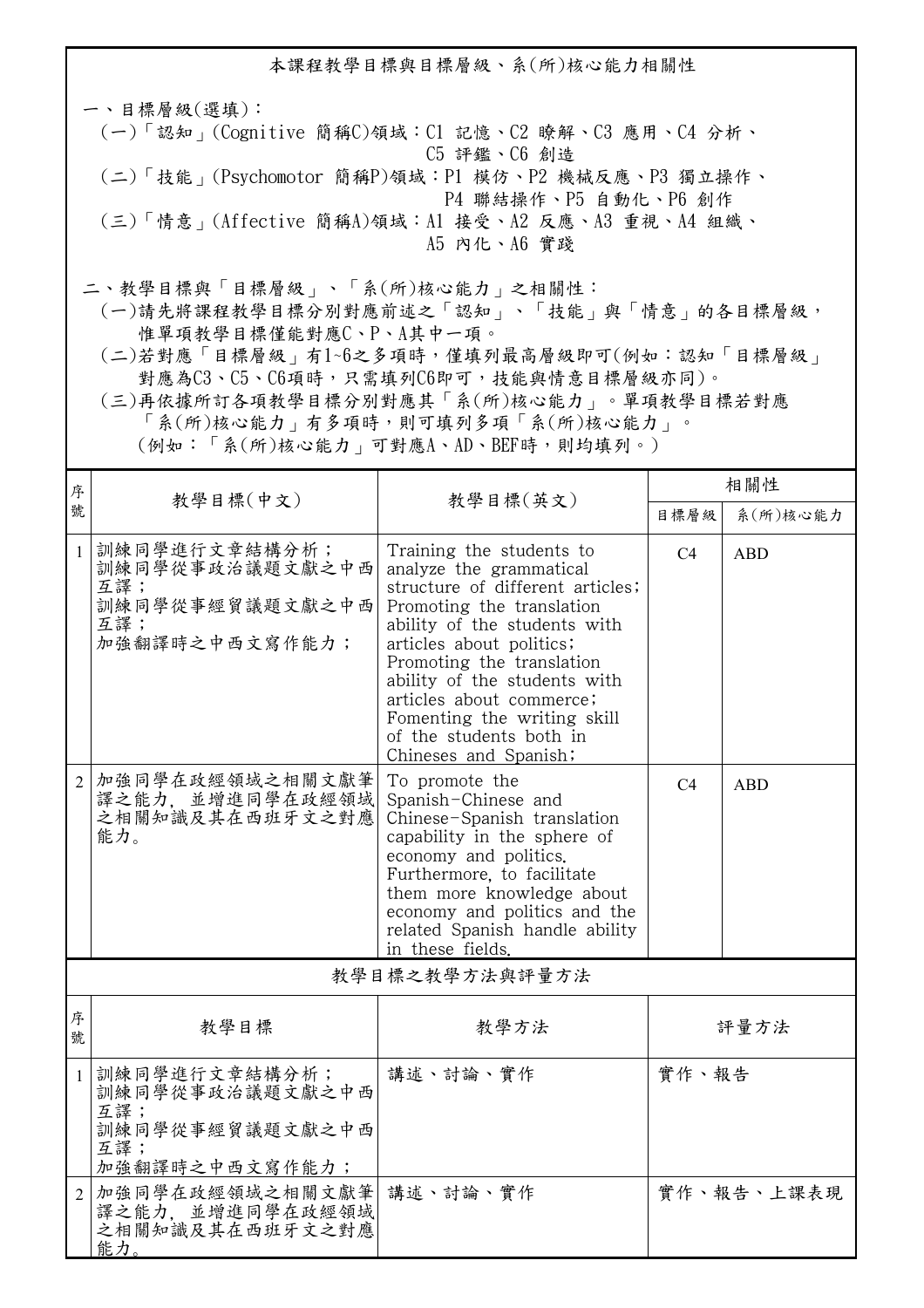本課程教學目標與目標層級、系(所)核心能力相關性 一、目標層級(選填): (一)「認知」(Cognitive 簡稱C)領域:C1 記憶、C2 瞭解、C3 應用、C4 分析、 C5 評鑑、C6 創造 (二)「技能」(Psychomotor 簡稱P)領域:P1 模仿、P2 機械反應、P3 獨立操作、 P4 聯結操作、P5 自動化、P6 創作 (三)「情意」(Affective 簡稱A)領域:A1 接受、A2 反應、A3 重視、A4 組織、 A5 內化、A6 實踐 二、教學目標與「目標層級」、「系(所)核心能力」之相關性:

 (一)請先將課程教學目標分別對應前述之「認知」、「技能」與「情意」的各目標層級, 惟單項教學目標僅能對應C、P、A其中一項。

 (二)若對應「目標層級」有1~6之多項時,僅填列最高層級即可(例如:認知「目標層級」 對應為C3、C5、C6項時,只需填列C6即可,技能與情意目標層級亦同)。

 (三)再依據所訂各項教學目標分別對應其「系(所)核心能力」。單項教學目標若對應 「系(所)核心能力」有多項時,則可填列多項「系(所)核心能力」。

(例如:「系(所)核心能力」可對應A、AD、BEF時,則均填列。)

| 序              |                                                                                     |                                                                                                                                                                                                                                                                                                                                                              | 相關性   |            |  |
|----------------|-------------------------------------------------------------------------------------|--------------------------------------------------------------------------------------------------------------------------------------------------------------------------------------------------------------------------------------------------------------------------------------------------------------------------------------------------------------|-------|------------|--|
| 號              | 教學目標(中文)                                                                            | 教學目標(英文)                                                                                                                                                                                                                                                                                                                                                     | 目標層級  | 系(所)核心能力   |  |
| $\mathbf{1}$   | 訓練同學進行文章結構分析;<br>訓練同學從事政治議題文獻之中西<br>互譯;<br>訓練同學從事經貿議題文獻之中西<br>互譯;<br>加強翻譯時之中西文寫作能力; | Training the students to<br>analyze the grammatical<br>structure of different articles;<br>Promoting the translation<br>ability of the students with<br>articles about politics;<br>Promoting the translation<br>ability of the students with<br>articles about commerce;<br>Fomenting the writing skill<br>of the students both in<br>Chineses and Spanish; | C4    | <b>ABD</b> |  |
| $\overline{2}$ | 加強同學在政經領域之相關文獻筆<br>譯之能力,並增進同學在政經領域<br>之相關知識及其在西班牙文之對應<br>能力。                        | To promote the<br>Spanish-Chinese and<br>Chinese-Spanish translation<br>capability in the sphere of<br>economy and politics.<br>Furthermore, to facilitate<br>them more knowledge about<br>economy and politics and the<br>related Spanish handle ability<br>in these fields.                                                                                | C4    | <b>ABD</b> |  |
| 教學目標之教學方法與評量方法 |                                                                                     |                                                                                                                                                                                                                                                                                                                                                              |       |            |  |
| 序<br>號         | 教學目標                                                                                | 教學方法                                                                                                                                                                                                                                                                                                                                                         | 評量方法  |            |  |
| $\mathbf{1}$   | 訓練同學進行文章結構分析;<br>訓練同學從事政治議題文獻之中西<br>互譯;<br>訓練同學從事經貿議題文獻之中西<br>互譯;<br>加強翻譯時之中西文寫作能力; | 講述、討論、實作                                                                                                                                                                                                                                                                                                                                                     | 實作、報告 |            |  |
| $\overline{2}$ | 加強同學在政經領域之相關文獻筆<br>譯之能力,並增進同學在政經領域<br>之相關知識及其在西班牙文之對應<br>能力                         | 講述、討論、實作                                                                                                                                                                                                                                                                                                                                                     |       | 實作、報告、上課表現 |  |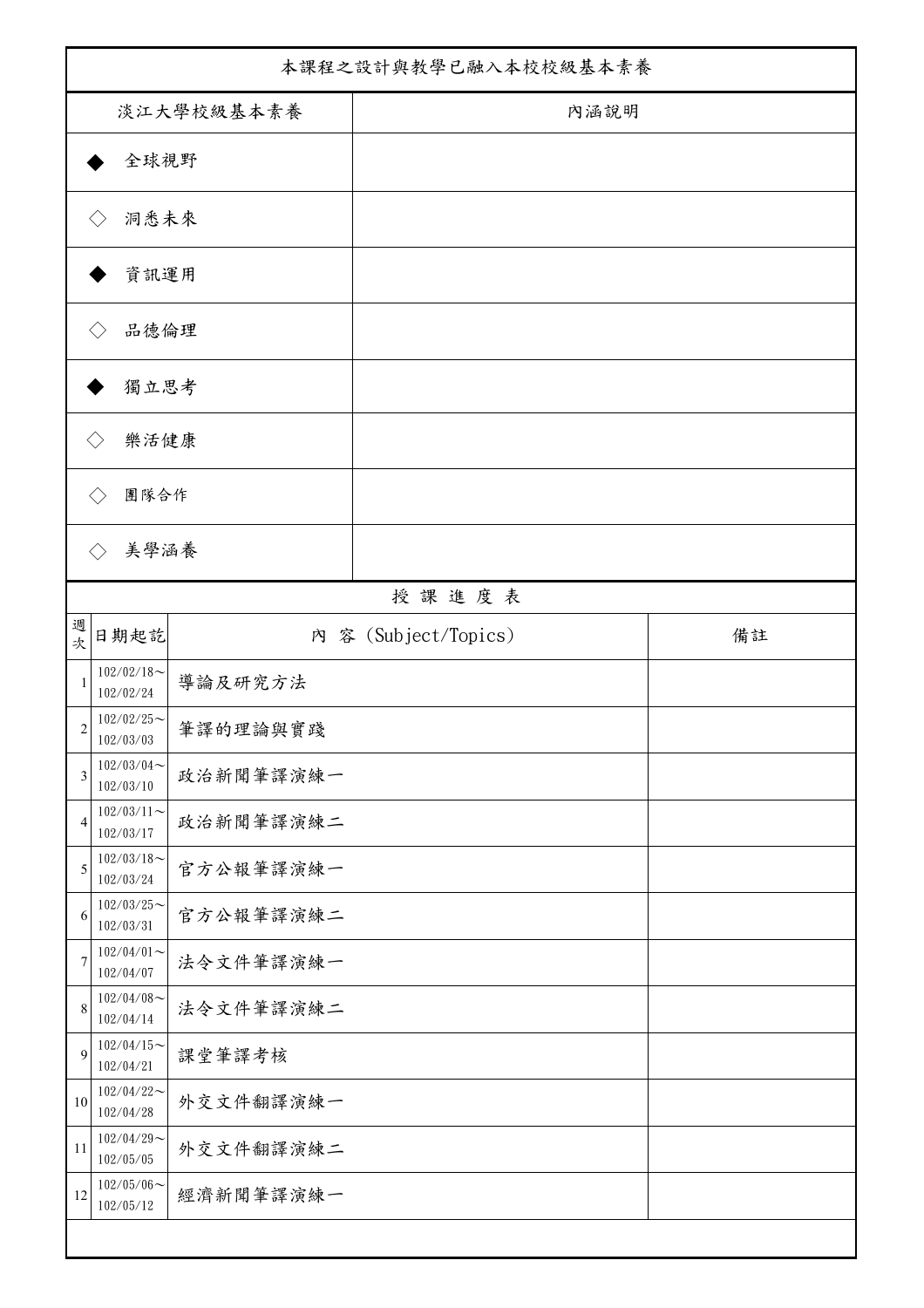| 本課程之設計與教學已融入本校校級基本素養      |                            |           |                      |    |
|---------------------------|----------------------------|-----------|----------------------|----|
| 淡江大學校級基本素養                |                            |           | 內涵說明                 |    |
| 全球視野                      |                            |           |                      |    |
| 洞悉未來<br>$\langle \rangle$ |                            |           |                      |    |
|                           | 資訊運用                       |           |                      |    |
|                           |                            |           |                      |    |
|                           | 品德倫理                       |           |                      |    |
| 獨立思考                      |                            |           |                      |    |
| 樂活健康<br>$\langle \rangle$ |                            |           |                      |    |
| 團隊合作                      |                            |           |                      |    |
| $\langle \rangle$         | 美學涵養                       |           |                      |    |
|                           |                            |           | 授課進度表                |    |
| 週<br>次                    | 日期起訖                       |           | 内 容 (Subject/Topics) | 備註 |
| 1                         | $102/02/18$ ~<br>102/02/24 | 導論及研究方法   |                      |    |
| $\overline{c}$            | $102/02/25$ ~<br>102/03/03 | 筆譯的理論與實踐  |                      |    |
| 3                         | $102/03/04$ ~<br>102/03/10 | 政治新聞筆譯演練一 |                      |    |
| $\overline{4}$            | $102/03/11$ ~<br>102/03/17 | 政治新聞筆譯演練二 |                      |    |
| 5                         | $102/03/18$ ~<br>102/03/24 | 官方公報筆譯演練一 |                      |    |
| 6                         | $102/03/25$ ~<br>102/03/31 | 官方公報筆譯演練二 |                      |    |
| $\overline{7}$            | $102/04/01$ ~<br>102/04/07 | 法令文件筆譯演練一 |                      |    |
| $\,$ 8 $\,$               | $102/04/08$ ~<br>102/04/14 | 法令文件筆譯演練二 |                      |    |
| 9                         | $102/04/15$ ~<br>102/04/21 | 課堂筆譯考核    |                      |    |
| $10\,$                    | $102/04/22$ ~<br>102/04/28 | 外交文件翻譯演練一 |                      |    |
| 11                        | $102/04/29$ ~<br>102/05/05 | 外交文件翻譯演練二 |                      |    |
| 12                        | $102/05/06$ ~<br>102/05/12 | 經濟新聞筆譯演練一 |                      |    |
|                           |                            |           |                      |    |